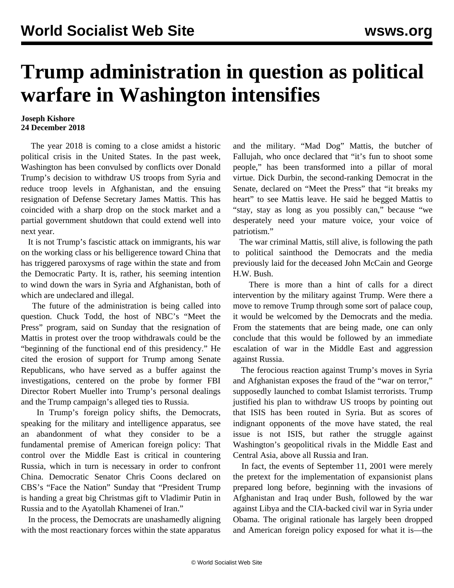## **Trump administration in question as political warfare in Washington intensifies**

## **Joseph Kishore 24 December 2018**

 The year 2018 is coming to a close amidst a historic political crisis in the United States. In the past week, Washington has been convulsed by conflicts over Donald Trump's decision to withdraw US troops from Syria and reduce troop levels in Afghanistan, and the ensuing resignation of Defense Secretary James Mattis. This has coincided with a sharp drop on the stock market and a partial government shutdown that could extend well into next year.

 It is not Trump's fascistic attack on immigrants, his war on the working class or his belligerence toward China that has triggered paroxysms of rage within the state and from the Democratic Party. It is, rather, his seeming intention to wind down the wars in Syria and Afghanistan, both of which are undeclared and illegal.

 The future of the administration is being called into question. Chuck Todd, the host of NBC's "Meet the Press" program, said on Sunday that the resignation of Mattis in protest over the troop withdrawals could be the "beginning of the functional end of this presidency." He cited the erosion of support for Trump among Senate Republicans, who have served as a buffer against the investigations, centered on the probe by former FBI Director Robert Mueller into Trump's personal dealings and the Trump campaign's alleged ties to Russia.

 In Trump's foreign policy shifts, the Democrats, speaking for the military and intelligence apparatus, see an abandonment of what they consider to be a fundamental premise of American foreign policy: That control over the Middle East is critical in countering Russia, which in turn is necessary in order to confront China. Democratic Senator Chris Coons declared on CBS's "Face the Nation" Sunday that "President Trump is handing a great big Christmas gift to Vladimir Putin in Russia and to the Ayatollah Khamenei of Iran."

 In the process, the Democrats are unashamedly aligning with the most reactionary forces within the state apparatus

and the military. "Mad Dog" Mattis, the butcher of Fallujah, who once declared that "it's fun to shoot some people," has been transformed into a pillar of moral virtue. Dick Durbin, the second-ranking Democrat in the Senate, declared on "Meet the Press" that "it breaks my heart" to see Mattis leave. He said he begged Mattis to "stay, stay as long as you possibly can," because "we desperately need your mature voice, your voice of patriotism."

 The war criminal Mattis, still alive, is following the path to political sainthood the Democrats and the media previously laid for the deceased John McCain and George H.W. Bush.

 There is more than a hint of calls for a direct intervention by the military against Trump. Were there a move to remove Trump through some sort of palace coup, it would be welcomed by the Democrats and the media. From the statements that are being made, one can only conclude that this would be followed by an immediate escalation of war in the Middle East and aggression against Russia.

 The ferocious reaction against Trump's moves in Syria and Afghanistan exposes the fraud of the "war on terror," supposedly launched to combat Islamist terrorists. Trump justified his plan to withdraw US troops by pointing out that ISIS has been routed in Syria. But as scores of indignant opponents of the move have stated, the real issue is not ISIS, but rather the struggle against Washington's geopolitical rivals in the Middle East and Central Asia, above all Russia and Iran.

 In fact, the events of September 11, 2001 were merely the pretext for the implementation of expansionist plans prepared long before, beginning with the invasions of Afghanistan and Iraq under Bush, followed by the war against Libya and the CIA-backed civil war in Syria under Obama. The original rationale has largely been dropped and American foreign policy exposed for what it is—the